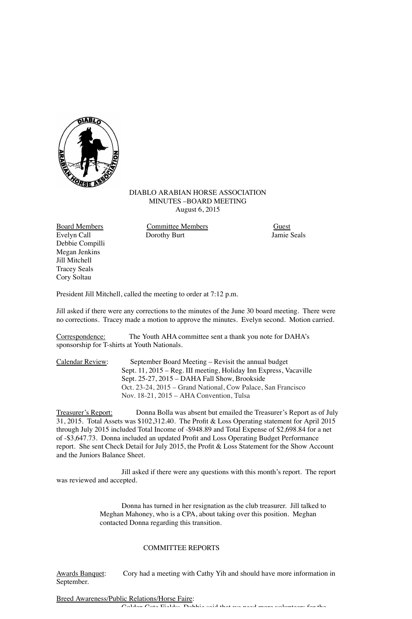

## DIABLO ARABIAN HORSE ASSOCIATION MINUTES –BOARD MEETING August 6, 2015

Debbie Compilli Megan Jenkins Jill Mitchell Tracey Seals Cory Soltau

Board Members Committee Members Guest Dorothy Burt

President Jill Mitchell, called the meeting to order at 7:12 p.m.

Jill asked if there were any corrections to the minutes of the June 30 board meeting. There were no corrections. Tracey made a motion to approve the minutes. Evelyn second. Motion carried.

Correspondence: The Youth AHA committee sent a thank you note for DAHA's sponsorship for T-shirts at Youth Nationals.

| Calendar Review: | September Board Meeting - Revisit the annual budget               |
|------------------|-------------------------------------------------------------------|
|                  | Sept. 11, 2015 – Reg. III meeting, Holiday Inn Express, Vacaville |
|                  | Sept. 25-27, 2015 - DAHA Fall Show, Brookside                     |
|                  | Oct. 23-24, 2015 – Grand National, Cow Palace, San Francisco      |
|                  | Nov. 18-21, 2015 - AHA Convention, Tulsa                          |

Treasurer's Report: Donna Bolla was absent but emailed the Treasurer's Report as of July 31, 2015. Total Assets was \$102,312.40. The Profit & Loss Operating statement for April 2015 through July 2015 included Total Income of -\$948.89 and Total Expense of \$2,698.84 for a net of -\$3,647.73. Donna included an updated Profit and Loss Operating Budget Performance report. She sent Check Detail for July 2015, the Profit & Loss Statement for the Show Account and the Juniors Balance Sheet.

Jill asked if there were any questions with this month's report. The report was reviewed and accepted.

> Donna has turned in her resignation as the club treasurer. Jill talked to Meghan Mahoney, who is a CPA, about taking over this position. Meghan contacted Donna regarding this transition.

## COMMITTEE REPORTS

Awards Banquet: Cory had a meeting with Cathy Yih and should have more information in September.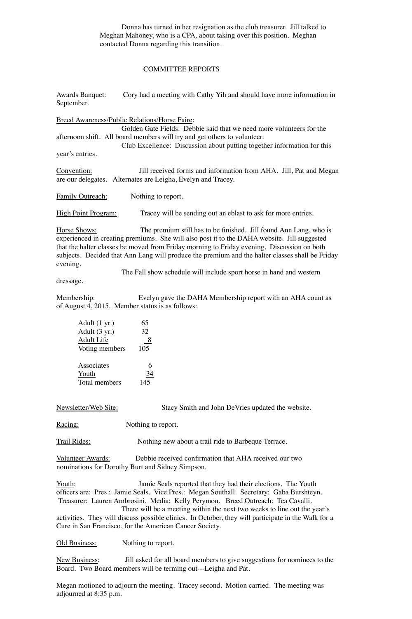Donna has turned in her resignation as the club treasurer. Jill talked to Meghan Mahoney, who is a CPA, about taking over this position. Meghan contacted Donna regarding this transition.

## COMMITTEE REPORTS

Awards Banquet: Cory had a meeting with Cathy Yih and should have more information in September. Breed Awareness/Public Relations/Horse Faire: Golden Gate Fields: Debbie said that we need more volunteers for the afternoon shift. All board members will try and get others to volunteer. Club Excellence: Discussion about putting together information for this year's entries. Convention: Jill received forms and information from AHA. Jill, Pat and Megan are our delegates. Alternates are Leigha, Evelyn and Tracey. Family Outreach: Nothing to report. High Point Program: Tracey will be sending out an eblast to ask for more entries. Horse Shows: The premium still has to be finished. Jill found Ann Lang, who is experienced in creating premiums. She will also post it to the DAHA website. Jill suggested that the halter classes be moved from Friday morning to Friday evening. Discussion on both subjects. Decided that Ann Lang will produce the premium and the halter classes shall be Friday evening.

dressage.

The Fall show schedule will include sport horse in hand and western

Membership: Evelyn gave the DAHA Membership report with an AHA count as of August 4, 2015. Member status is as follows:

| Adult (1 yr.)  | 65  |
|----------------|-----|
| Adult (3 yr.)  | 32  |
| Adult Life     | 8   |
| Voting members | 105 |
|                |     |
| Associates     |     |
| Youth          |     |
| Total members  | 145 |

Newsletter/Web Site: Stacy Smith and John DeVries updated the website.

Racing: Nothing to report.

Trail Rides: Nothing new about a trail ride to Barbeque Terrace.

Volunteer Awards: Debbie received confirmation that AHA received our two nominations for Dorothy Burt and Sidney Simpson.

Youth: Jamie Seals reported that they had their elections. The Youth officers are: Pres.: Jamie Seals. Vice Pres.: Megan Southall. Secretary: Gaba Burshteyn. Treasurer: Lauren Ambrosini. Media: Kelly Perymon. Breed Outreach: Tea Cavalli.

There will be a meeting within the next two weeks to line out the year's activities. They will discuss possible clinics. In October, they will participate in the Walk for a Cure in San Francisco, for the American Cancer Society.

Old Business: Nothing to report.

New Business: Jill asked for all board members to give suggestions for nominees to the Board. Two Board members will be terming out---Leigha and Pat.

 Megan motioned to adjourn the meeting. Tracey second. Motion carried. The meeting was adjourned at 8:35 p.m.